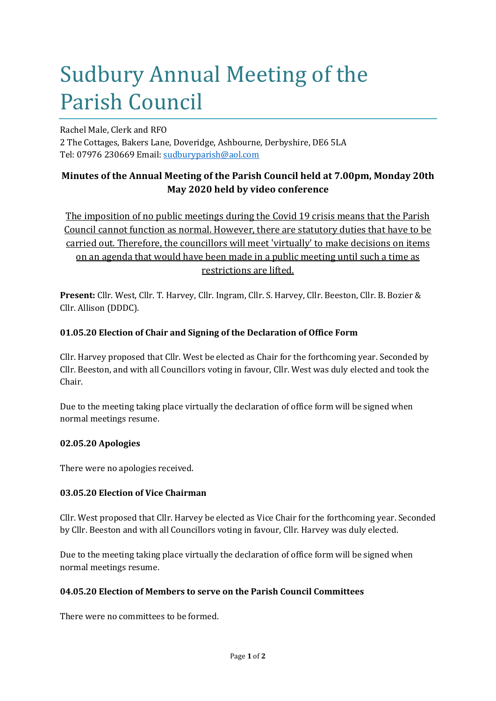# Sudbury Annual Meeting of the Parish Council

Rachel Male, Clerk and RFO

2 The Cottages, Bakers Lane, Doveridge, Ashbourne, Derbyshire, DE6 5LA Tel: 07976 230669 Email: sudburyparish@aol.com

## **Minutes of the Annual Meeting of the Parish Council held at 7.00pm, Monday 20th May 2020 held by video conference**

The imposition of no public meetings during the Covid 19 crisis means that the Parish Council cannot function as normal. However, there are statutory duties that have to be carried out. Therefore, the councillors will meet 'virtually' to make decisions on items on an agenda that would have been made in a public meeting until such a time as restrictions are lifted.

**Present:** Cllr. West, Cllr. T. Harvey, Cllr. Ingram, Cllr. S. Harvey, Cllr. Beeston, Cllr. B. Bozier & Cllr. Allison (DDDC).

## **01.05.20 Election of Chair and Signing of the Declaration of Office Form**

Cllr. Harvey proposed that Cllr. West be elected as Chair for the forthcoming year. Seconded by Cllr. Beeston, and with all Councillors voting in favour, Cllr. West was duly elected and took the Chair.

Due to the meeting taking place virtually the declaration of office form will be signed when normal meetings resume.

## **02.05.20 Apologies**

There were no apologies received.

## **03.05.20 Election of Vice Chairman**

Cllr. West proposed that Cllr. Harvey be elected as Vice Chair for the forthcoming year. Seconded by Cllr. Beeston and with all Councillors voting in favour, Cllr. Harvey was duly elected.

Due to the meeting taking place virtually the declaration of office form will be signed when normal meetings resume.

## **04.05.20 Election of Members to serve on the Parish Council Committees**

There were no committees to be formed.